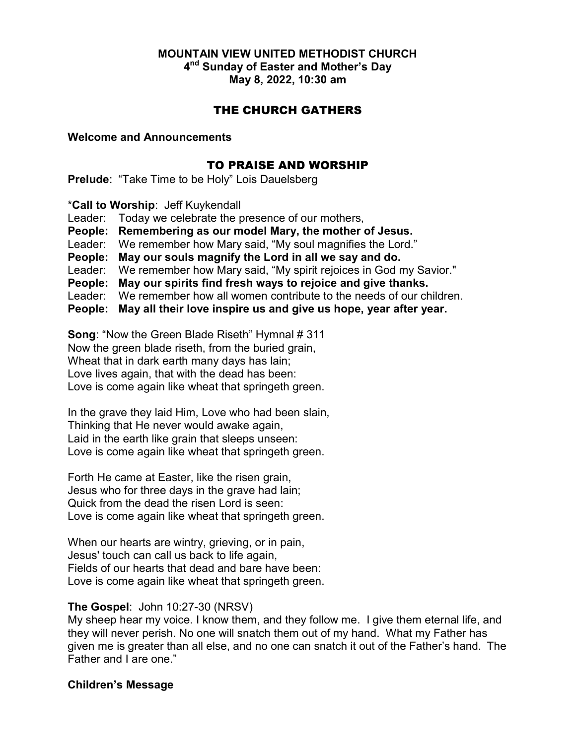# MOUNTAIN VIEW UNITED METHODIST CHURCH 4<sup>nd</sup> Sunday of Easter and Mother's Day

May 8, 2022, 10:30 am

## THE CHURCH GATHERS

### Welcome and Announcements

## TO PRAISE AND WORSHIP

Prelude: "Take Time to be Holy" Lois Dauelsberg

\*Call to Worship: Jeff Kuykendall

Leader: Today we celebrate the presence of our mothers,

People: Remembering as our model Mary, the mother of Jesus.

Leader: We remember how Mary said, "My soul magnifies the Lord."

People: May our souls magnify the Lord in all we say and do.

Leader: We remember how Mary said, "My spirit rejoices in God my Savior."

People: May our spirits find fresh ways to rejoice and give thanks.

Leader: We remember how all women contribute to the needs of our children.

People: May all their love inspire us and give us hope, year after year.

Song: "Now the Green Blade Riseth" Hymnal # 311 Now the green blade riseth, from the buried grain, Wheat that in dark earth many days has lain; Love lives again, that with the dead has been: Love is come again like wheat that springeth green.

In the grave they laid Him, Love who had been slain, Thinking that He never would awake again, Laid in the earth like grain that sleeps unseen: Love is come again like wheat that springeth green.

Forth He came at Easter, like the risen grain, Jesus who for three days in the grave had lain; Quick from the dead the risen Lord is seen: Love is come again like wheat that springeth green.

When our hearts are wintry, grieving, or in pain, Jesus' touch can call us back to life again, Fields of our hearts that dead and bare have been: Love is come again like wheat that springeth green.

## The Gospel: John 10:27-30 (NRSV)

My sheep hear my voice. I know them, and they follow me. I give them eternal life, and they will never perish. No one will snatch them out of my hand. What my Father has given me is greater than all else, and no one can snatch it out of the Father's hand. The Father and I are one."

## Children's Message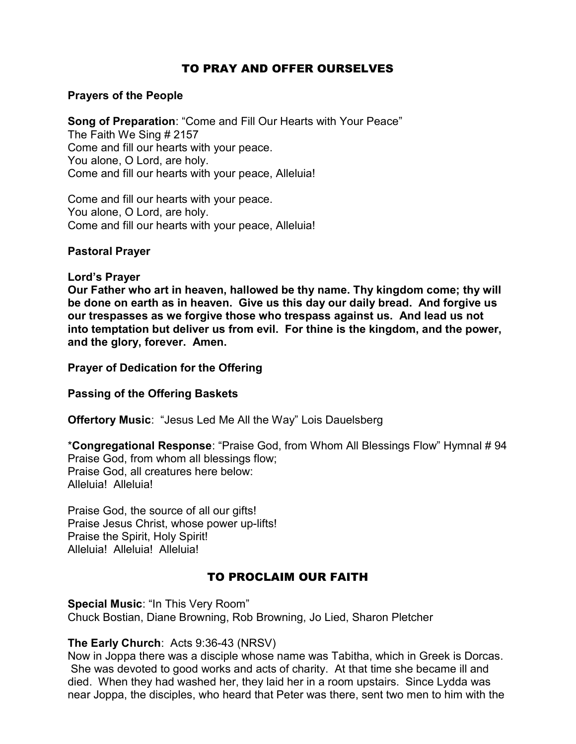## TO PRAY AND OFFER OURSELVES

### Prayers of the People

Song of Preparation: "Come and Fill Our Hearts with Your Peace" The Faith We Sing # 2157 Come and fill our hearts with your peace. You alone, O Lord, are holy. Come and fill our hearts with your peace, Alleluia!

Come and fill our hearts with your peace. You alone, O Lord, are holy. Come and fill our hearts with your peace, Alleluia!

### Pastoral Prayer

### Lord's Prayer

Our Father who art in heaven, hallowed be thy name. Thy kingdom come; thy will be done on earth as in heaven. Give us this day our daily bread. And forgive us our trespasses as we forgive those who trespass against us. And lead us not into temptation but deliver us from evil. For thine is the kingdom, and the power, and the glory, forever. Amen.

Prayer of Dedication for the Offering

Passing of the Offering Baskets

Offertory Music: "Jesus Led Me All the Way" Lois Dauelsberg

\*Congregational Response: "Praise God, from Whom All Blessings Flow" Hymnal # 94 Praise God, from whom all blessings flow; Praise God, all creatures here below: Alleluia! Alleluia!

Praise God, the source of all our gifts! Praise Jesus Christ, whose power up-lifts! Praise the Spirit, Holy Spirit! Alleluia! Alleluia! Alleluia!

# TO PROCLAIM OUR FAITH

Special Music: "In This Very Room" Chuck Bostian, Diane Browning, Rob Browning, Jo Lied, Sharon Pletcher

## The Early Church: Acts 9:36-43 (NRSV)

Now in Joppa there was a disciple whose name was Tabitha, which in Greek is Dorcas. She was devoted to good works and acts of charity. At that time she became ill and died. When they had washed her, they laid her in a room upstairs. Since Lydda was near Joppa, the disciples, who heard that Peter was there, sent two men to him with the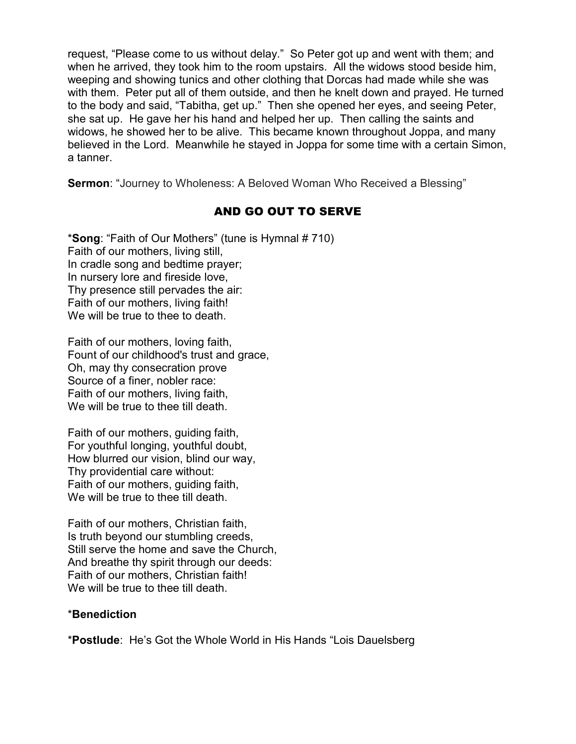request, "Please come to us without delay." So Peter got up and went with them; and when he arrived, they took him to the room upstairs. All the widows stood beside him, weeping and showing tunics and other clothing that Dorcas had made while she was with them. Peter put all of them outside, and then he knelt down and prayed. He turned to the body and said, "Tabitha, get up." Then she opened her eyes, and seeing Peter, she sat up. He gave her his hand and helped her up. Then calling the saints and widows, he showed her to be alive. This became known throughout Joppa, and many believed in the Lord. Meanwhile he stayed in Joppa for some time with a certain Simon, a tanner.

Sermon: "Journey to Wholeness: A Beloved Woman Who Received a Blessing"

# AND GO OUT TO SERVE

\*Song: "Faith of Our Mothers" (tune is Hymnal # 710) Faith of our mothers, living still, In cradle song and bedtime prayer; In nursery lore and fireside love, Thy presence still pervades the air: Faith of our mothers, living faith! We will be true to thee to death.

Faith of our mothers, loving faith, Fount of our childhood's trust and grace, Oh, may thy consecration prove Source of a finer, nobler race: Faith of our mothers, living faith, We will be true to thee till death.

Faith of our mothers, guiding faith, For youthful longing, youthful doubt, How blurred our vision, blind our way, Thy providential care without: Faith of our mothers, guiding faith, We will be true to thee till death.

Faith of our mothers, Christian faith, Is truth beyond our stumbling creeds, Still serve the home and save the Church, And breathe thy spirit through our deeds: Faith of our mothers, Christian faith! We will be true to thee till death.

## \*Benediction

\*Postlude: He's Got the Whole World in His Hands "Lois Dauelsberg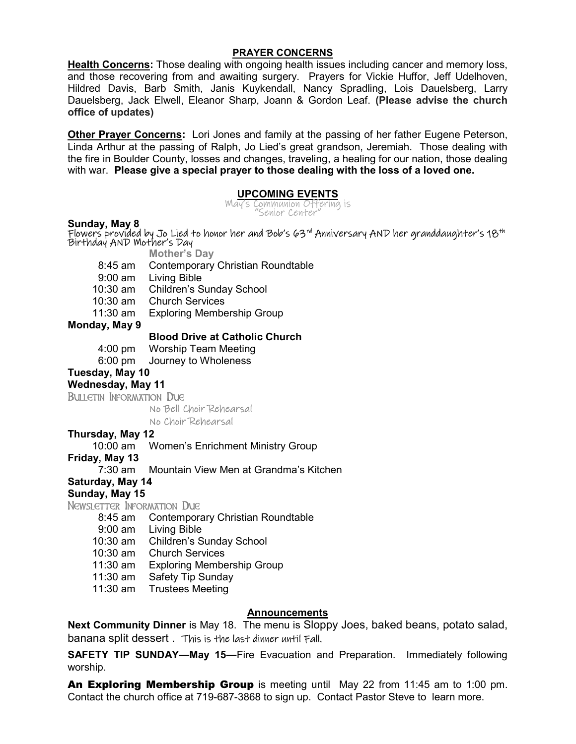#### PRAYER CONCERNS

Health Concerns: Those dealing with ongoing health issues including cancer and memory loss, and those recovering from and awaiting surgery. Prayers for Vickie Huffor, Jeff Udelhoven, Hildred Davis, Barb Smith, Janis Kuykendall, Nancy Spradling, Lois Dauelsberg, Larry Dauelsberg, Jack Elwell, Eleanor Sharp, Joann & Gordon Leaf. (Please advise the church office of updates)

**Other Prayer Concerns:** Lori Jones and family at the passing of her father Eugene Peterson, Linda Arthur at the passing of Ralph, Jo Lied's great grandson, Jeremiah. Those dealing with the fire in Boulder County, losses and changes, traveling, a healing for our nation, those dealing with war. Please give a special prayer to those dealing with the loss of a loved one.

### UPCOMING EVENTS

May's Communion Offering is "Senior Center"

Sunday, May 8 Flowers provided by Jo Lied to honor her and Bob's 63rd Anniversary AND her granddaughter's 18th Birthday AND Mother's Day Mother's Day 8:45 am Contemporary Christian Roundtable 9:00 am Living Bible 10:30 am Children's Sunday School 10:30 am Church Services 11:30 am Exploring Membership Group Monday, May 9 Blood Drive at Catholic Church 4:00 pm Worship Team Meeting 6:00 pm Journey to Wholeness Tuesday, May 10 Wednesday, May 11 Bulletin Information Due No Bell Choir Rehearsal No Choir Rehearsal Thursday, May 12 10:00 am Women's Enrichment Ministry Group Friday, May 13 7:30 am Mountain View Men at Grandma's Kitchen Saturday, May 14 Sunday, May 15 Newsletter Information Due 8:45 am Contemporary Christian Roundtable 9:00 am Living Bible

- 10:30 am Children's Sunday School
- 10:30 am Church Services
- 11:30 am Exploring Membership Group
- 11:30 am Safety Tip Sunday
- 11:30 am Trustees Meeting

#### Announcements

Next Community Dinner is May 18. The menu is Sloppy Joes, baked beans, potato salad, banana split dessert . This is the last dinner until Fall.

SAFETY TIP SUNDAY—May 15—Fire Evacuation and Preparation. Immediately following worship.

An Exploring Membership Group is meeting until May 22 from 11:45 am to 1:00 pm. Contact the church office at 719-687-3868 to sign up. Contact Pastor Steve to learn more.